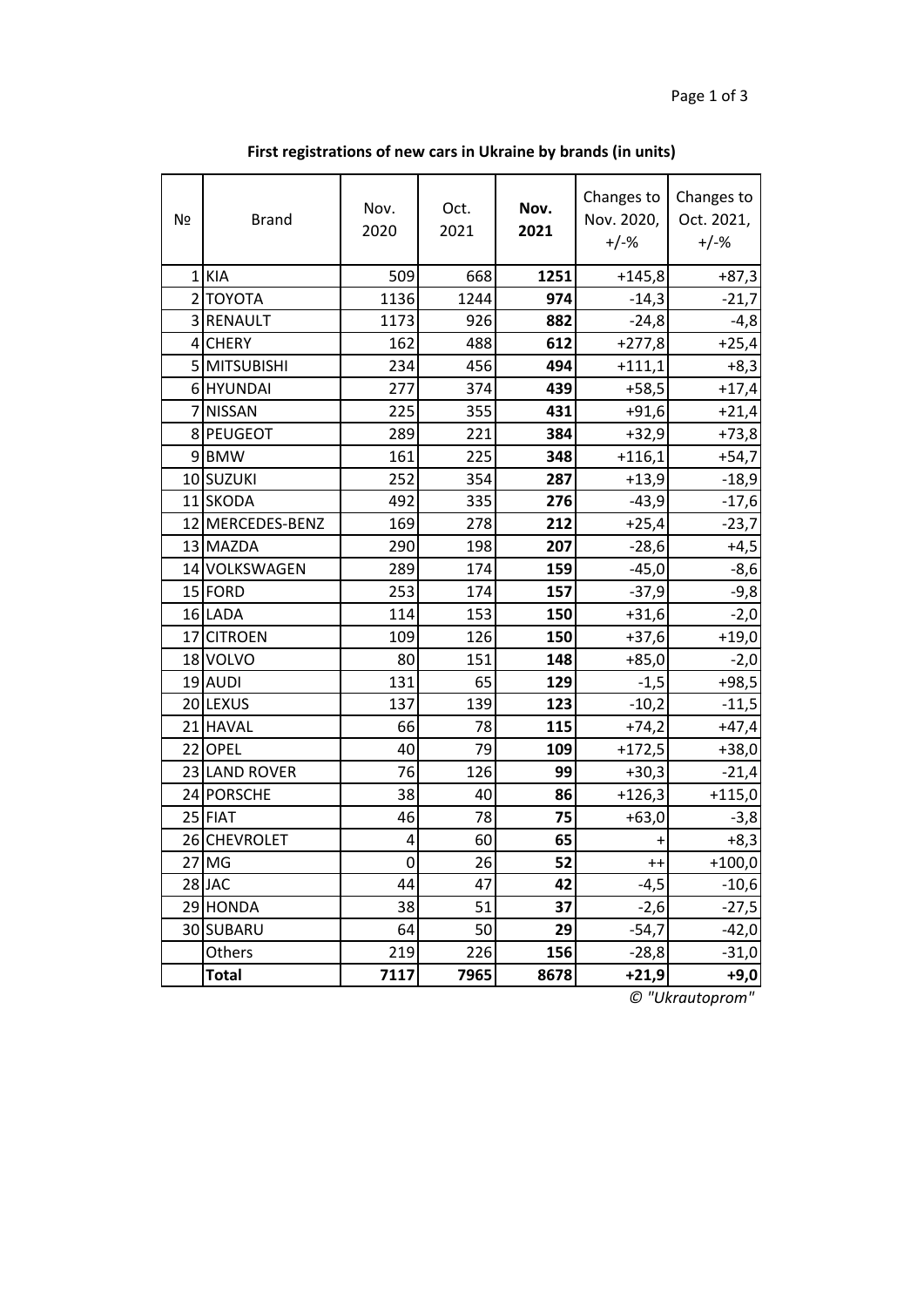| Nº | <b>Brand</b>     | Nov.<br>2020   | Oct.<br>2021 | Nov.<br>2021 | Changes to<br>Nov. 2020,<br>$+/-%$ | Changes to<br>Oct. 2021,<br>$+/-%$ |
|----|------------------|----------------|--------------|--------------|------------------------------------|------------------------------------|
|    | $1$ KIA          | 509            | 668          | 1251         | $+145,8$                           | $+87,3$                            |
|    | 2 ΤΟΥΟΤΑ         | 1136           | 1244         | 974          | $-14,3$                            | $-21,7$                            |
|    | 3 RENAULT        | 1173           | 926          | 882          | $-24,8$                            | $-4,8$                             |
|    | 4 CHERY          | 162            | 488          | 612          | $+277,8$                           | $+25,4$                            |
|    | 5 MITSUBISHI     | 234            | 456          | 494          | $+111,1$                           | $+8,3$                             |
|    | 6 HYUNDAI        | 277            | 374          | 439          | $+58,5$                            | $+17,4$                            |
|    | 7 NISSAN         | 225            | 355          | 431          | $+91,6$                            | $+21,4$                            |
|    | 8 PEUGEOT        | 289            | 221          | 384          | $+32,9$                            | $+73,8$                            |
|    | 9 BMW            | 161            | 225          | 348          | $+116,1$                           | $+54,7$                            |
|    | 10 SUZUKI        | 252            | 354          | 287          | $+13,9$                            | $-18,9$                            |
|    | 11 SKODA         | 492            | 335          | 276          | $-43,9$                            | $-17,6$                            |
|    | 12 MERCEDES-BENZ | 169            | 278          | 212          | $+25,4$                            | $-23,7$                            |
|    | 13 MAZDA         | 290            | 198          | 207          | $-28,6$                            | $+4,5$                             |
|    | 14 VOLKSWAGEN    | 289            | 174          | 159          | $-45,0$                            | $-8,6$                             |
|    | 15 FORD          | 253            | 174          | 157          | $-37,9$                            | $-9,8$                             |
|    | 16 LADA          | 114            | 153          | 150          | $+31,6$                            | $-2,0$                             |
|    | 17 CITROEN       | 109            | 126          | 150          | $+37,6$                            | $+19,0$                            |
|    | 18 VOLVO         | 80             | 151          | 148          | $+85,0$                            | $-2,0$                             |
|    | 19 AUDI          | 131            | 65           | 129          | $-1,5$                             | $+98,5$                            |
|    | 20 LEXUS         | 137            | 139          | 123          | $-10,2$                            | $-11,5$                            |
|    | 21 HAVAL         | 66             | 78           | 115          | $+74,2$                            | $+47,4$                            |
|    | 22 OPEL          | 40             | 79           | 109          | $+172,5$                           | $+38,0$                            |
|    | 23 LAND ROVER    | 76             | 126          | 99           | $+30,3$                            | $-21,4$                            |
|    | 24 PORSCHE       | 38             | 40           | 86           | $+126,3$                           | $+115,0$                           |
|    | 25 FIAT          | 46             | 78           | 75           | $+63,0$                            | $-3,8$                             |
|    | 26 CHEVROLET     | 4              | 60           | 65           | $\ddot{}$                          | $+8,3$                             |
|    | $27$ MG          | $\overline{0}$ | 26           | 52           | $^{++}$                            | $+100,0$                           |
|    | 28JAC            | 44             | 47           | 42           | $-4,5$                             | $-10,6$                            |
|    | 29 HONDA         | 38             | 51           | 37           | $-2,6$                             | $-27,5$                            |
|    | 30 SUBARU        | 64             | 50           | 29           | $-54,7$                            | $-42,0$                            |
|    | Others           | 219            | 226          | 156          | $-28,8$                            | $-31,0$                            |
|    | <b>Total</b>     | 7117           | 7965         | 8678         | $+21,9$                            | $+9,0$                             |

**First registrations of new cars in Ukraine by brands (in units)**

*© "Ukrautoprom"*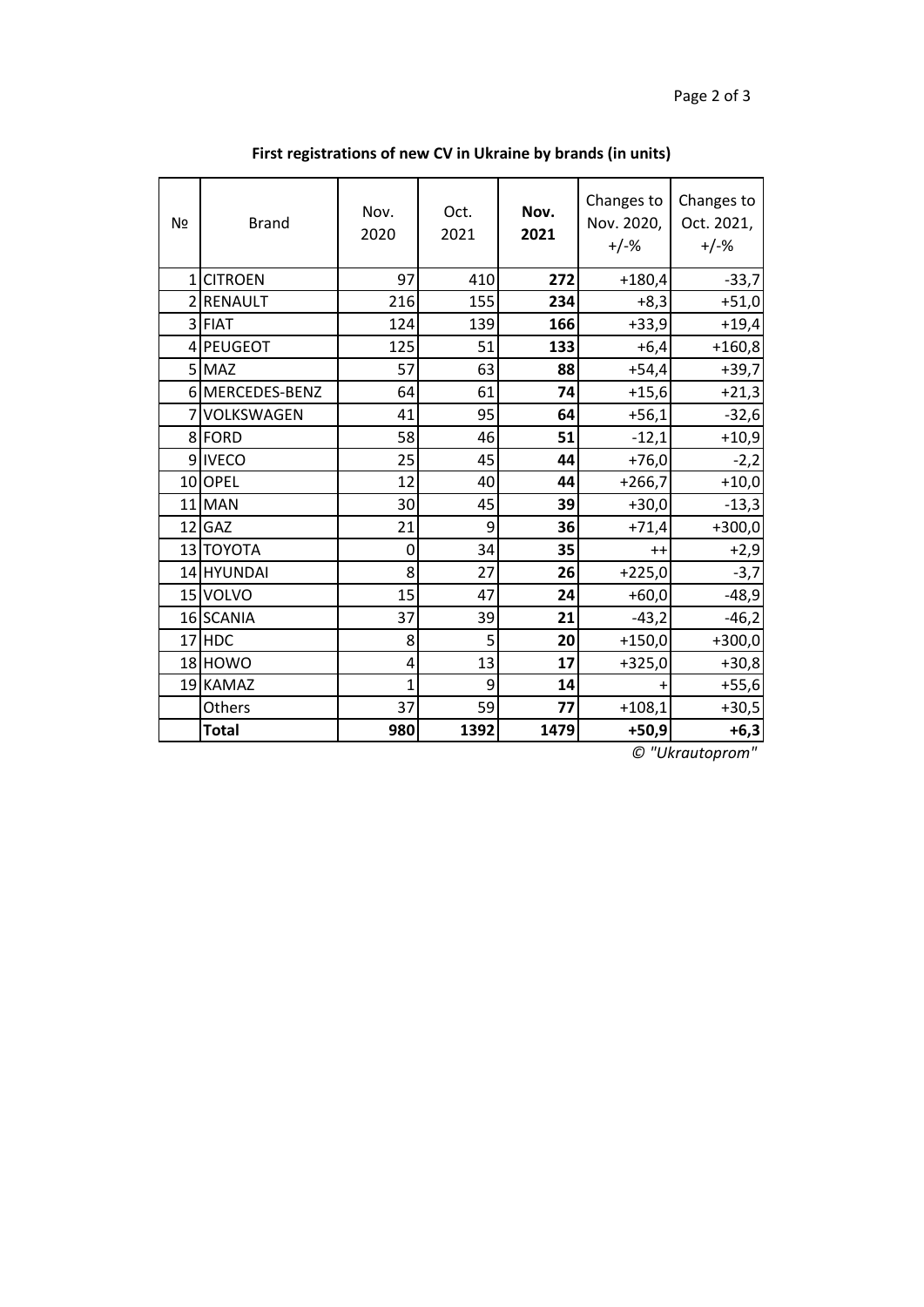| Nº | <b>Brand</b>    | Nov.<br>2020 | Oct.<br>2021 | Nov.<br>2021 | Changes to<br>Nov. 2020,<br>$+/-%$ | Changes to<br>Oct. 2021,<br>$+/-%$ |
|----|-----------------|--------------|--------------|--------------|------------------------------------|------------------------------------|
|    | 1 CITROEN       | 97           | 410          | 272          | $+180,4$                           | $-33,7$                            |
|    | 2RENAULT        | 216          | 155          | 234          | $+8,3$                             | $+51,0$                            |
|    | 3 FIAT          | 124          | 139          | 166          | $+33,9$                            | $+19,4$                            |
|    | 4 PEUGEOT       | 125          | 51           | 133          | $+6,4$                             | $+160,8$                           |
|    | 5 MAZ           | 57           | 63           | 88           | $+54,4$                            | $+39,7$                            |
|    | 6 MERCEDES-BENZ | 64           | 61           | 74           | $+15,6$                            | $+21,3$                            |
|    | 7 VOLKSWAGEN    | 41           | 95           | 64           | $+56,1$                            | $-32,6$                            |
|    | 8FORD           | 58           | 46           | 51           | $-12,1$                            | $+10,9$                            |
|    | 9IVECO          | 25           | 45           | 44           | $+76,0$                            | $-2,2$                             |
|    | 10OPEL          | 12           | 40           | 44           | $+266,7$                           | $+10,0$                            |
|    | 11 MAN          | 30           | 45           | 39           | $+30,0$                            | $-13,3$                            |
|    | $12$ GAZ        | 21           | 9            | 36           | $+71,4$                            | $+300,0$                           |
|    | 13 TOYOTA       | 0            | 34           | 35           | $++$                               | $+2,9$                             |
|    | 14 HYUNDAI      | 8            | 27           | 26           | $+225,0$                           | $-3,7$                             |
|    | 15 VOLVO        | 15           | 47           | 24           | $+60,0$                            | $-48,9$                            |
|    | 16 SCANIA       | 37           | 39           | 21           | $-43,2$                            | $-46,2$                            |
|    | 17 HDC          | 8            | 5            | 20           | $+150,0$                           | $+300,0$                           |
|    | 18 HOWO         | 4            | 13           | 17           | $+325,0$                           | $+30,8$                            |
|    | 19 KAMAZ        | 1            | 9            | 14           | +                                  | $+55,6$                            |
|    | Others          | 37           | 59           | 77           | $+108,1$                           | $+30,5$                            |
|    | <b>Total</b>    | 980          | 1392         | 1479         | $+50,9$                            | $+6,3$                             |

**First registrations of new CV in Ukraine by brands (in units)**

*© "Ukrautoprom"*